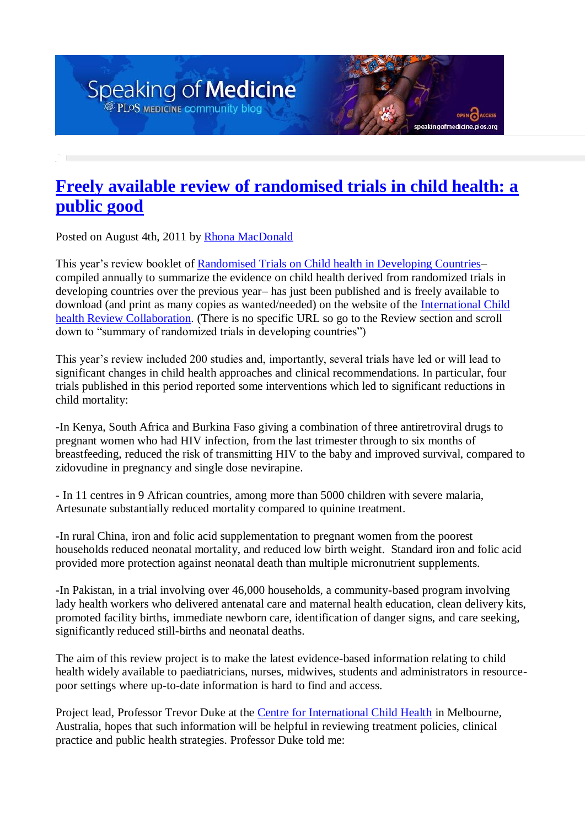## **Freely [available review of randomised trials in child health: a](http://blogs.plos.org/speakingofmedicine/2011/08/04/freely-available-review-of-randomised-trials-in-child-health-a-public-good/)  [public good](http://blogs.plos.org/speakingofmedicine/2011/08/04/freely-available-review-of-randomised-trials-in-child-health-a-public-good/)**

aking of medicine. plos.org

Posted on August 4th, 2011 b[y Rhona MacDonald](http://blogs.plos.org/speakingofmedicine/author/rmacdonald/)

This year's review booklet of [Randomised Trials on Child health in Developing Countries–](http://www.ichrc.org/) compiled annually to summarize the evidence on child health derived from randomized trials in developing countries over the previous year– has just been published and is freely available to download (and print as many copies as wanted/needed) on the website of the [International Child](http://www.ichrc.org/)  [health Review Collaboration.](http://www.ichrc.org/) (There is no specific URL so go to the Review section and scroll down to "summary of randomized trials in developing countries")

This year's review included 200 studies and, importantly, several trials have led or will lead to significant changes in child health approaches and clinical recommendations. In particular, four trials published in this period reported some interventions which led to significant reductions in child mortality:

-In Kenya, South Africa and Burkina Faso giving a combination of three antiretroviral drugs to pregnant women who had HIV infection, from the last trimester through to six months of breastfeeding, reduced the risk of transmitting HIV to the baby and improved survival, compared to zidovudine in pregnancy and single dose nevirapine.

- In 11 centres in 9 African countries, among more than 5000 children with severe malaria, Artesunate substantially reduced mortality compared to quinine treatment.

-In rural China, iron and folic acid supplementation to pregnant women from the poorest households reduced neonatal mortality, and reduced low birth weight. Standard iron and folic acid provided more protection against neonatal death than multiple micronutrient supplements.

-In Pakistan, in a trial involving over 46,000 households, a community-based program involving lady health workers who delivered antenatal care and maternal health education, clean delivery kits, promoted facility births, immediate newborn care, identification of danger signs, and care seeking, significantly reduced still-births and neonatal deaths.

The aim of this review project is to make the latest evidence-based information relating to child health widely available to paediatricians, nurses, midwives, students and administrators in resourcepoor settings where up-to-date information is hard to find and access.

Project lead, Professor Trevor Duke at the [Centre for International Child Health](http://www.rch.org.au/cich/index.cfm?doc_id=694) in Melbourne, Australia, hopes that such information will be helpful in reviewing treatment policies, clinical practice and public health strategies. Professor Duke told me: